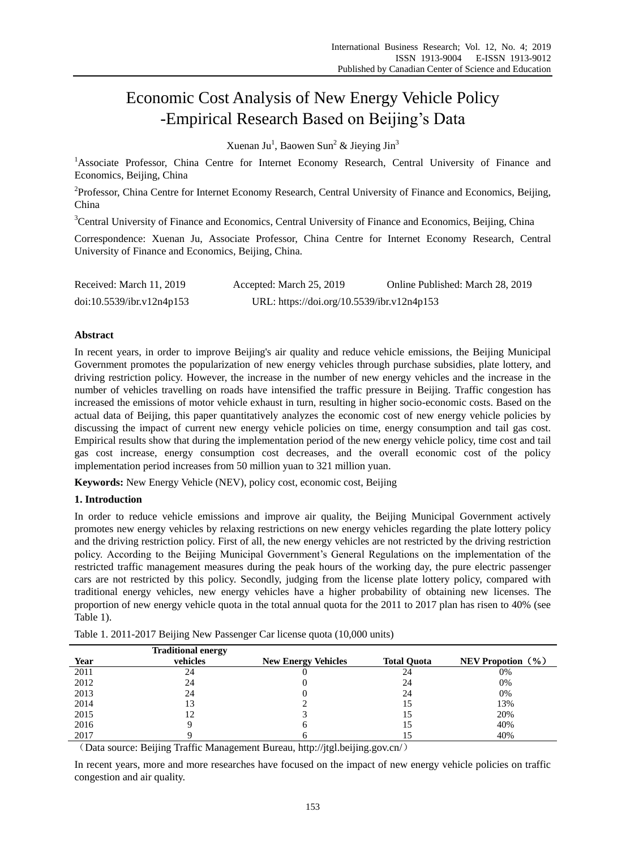# Economic Cost Analysis of New Energy Vehicle Policy -Empirical Research Based on Beijing's Data

Xuenan Ju<sup>1</sup>, Baowen Sun<sup>2</sup> & Jieying Jin<sup>3</sup>

<sup>1</sup>Associate Professor, China Centre for Internet Economy Research, Central University of Finance and Economics, Beijing, China

<sup>2</sup>Professor, China Centre for Internet Economy Research, Central University of Finance and Economics, Beijing, China

<sup>3</sup>Central University of Finance and Economics, Central University of Finance and Economics, Beijing, China

Correspondence: Xuenan Ju, Associate Professor, China Centre for Internet Economy Research, Central University of Finance and Economics, Beijing, China.

| Received: March 11, 2019  | Accepted: March 25, 2019                   | Online Published: March 28, 2019 |
|---------------------------|--------------------------------------------|----------------------------------|
| doi:10.5539/ibr.v12n4p153 | URL: https://doi.org/10.5539/ibr.v12n4p153 |                                  |

# **Abstract**

In recent years, in order to improve Beijing's air quality and reduce vehicle emissions, the Beijing Municipal Government promotes the popularization of new energy vehicles through purchase subsidies, plate lottery, and driving restriction policy. However, the increase in the number of new energy vehicles and the increase in the number of vehicles travelling on roads have intensified the traffic pressure in Beijing. Traffic congestion has increased the emissions of motor vehicle exhaust in turn, resulting in higher socio-economic costs. Based on the actual data of Beijing, this paper quantitatively analyzes the economic cost of new energy vehicle policies by discussing the impact of current new energy vehicle policies on time, energy consumption and tail gas cost. Empirical results show that during the implementation period of the new energy vehicle policy, time cost and tail gas cost increase, energy consumption cost decreases, and the overall economic cost of the policy implementation period increases from 50 million yuan to 321 million yuan.

**Keywords:** New Energy Vehicle (NEV), policy cost, economic cost, Beijing

## **1. Introduction**

In order to reduce vehicle emissions and improve air quality, the Beijing Municipal Government actively promotes new energy vehicles by relaxing restrictions on new energy vehicles regarding the plate lottery policy and the driving restriction policy. First of all, the new energy vehicles are not restricted by the driving restriction policy. According to the Beijing Municipal Government's General Regulations on the implementation of the restricted traffic management measures during the peak hours of the working day, the pure electric passenger cars are not restricted by this policy. Secondly, judging from the license plate lottery policy, compared with traditional energy vehicles, new energy vehicles have a higher probability of obtaining new licenses. The proportion of new energy vehicle quota in the total annual quota for the 2011 to 2017 plan has risen to 40% (see Table 1).

|      | <b>Traditional energy</b> |                            |                    |                       |
|------|---------------------------|----------------------------|--------------------|-----------------------|
| Year | vehicles                  | <b>New Energy Vehicles</b> | <b>Total Quota</b> | NEV Propotion $(\% )$ |
| 2011 | 24                        |                            | 24                 | 0%                    |
| 2012 | 24                        |                            | 24                 | 0%                    |
| 2013 | 24                        |                            | 24                 | 0%                    |
| 2014 | 13                        |                            | 15                 | 13%                   |
| 2015 |                           |                            |                    | 20%                   |
| 2016 |                           |                            |                    | 40%                   |
| 2017 |                           |                            |                    | 40%                   |

Table 1. 2011-2017 Beijing New Passenger Car license quota (10,000 units)

(Data source: Beijing Traffic Management Bureau, http://jtgl.beijing.gov.cn/)

In recent years, more and more researches have focused on the impact of new energy vehicle policies on traffic congestion and air quality.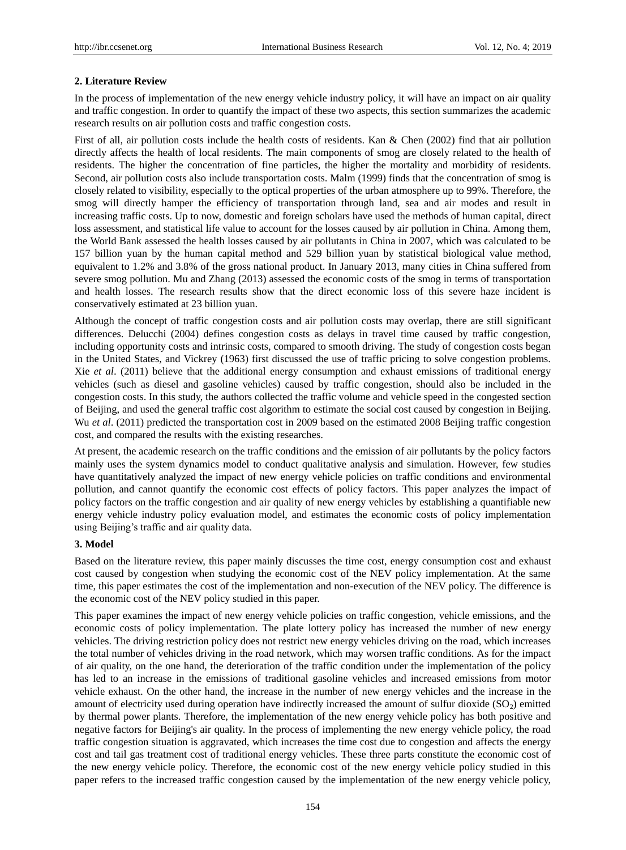## **2. Literature Review**

In the process of implementation of the new energy vehicle industry policy, it will have an impact on air quality and traffic congestion. In order to quantify the impact of these two aspects, this section summarizes the academic research results on air pollution costs and traffic congestion costs.

First of all, air pollution costs include the health costs of residents. Kan & Chen (2002) find that air pollution directly affects the health of local residents. The main components of smog are closely related to the health of residents. The higher the concentration of fine particles, the higher the mortality and morbidity of residents. Second, air pollution costs also include transportation costs. Malm (1999) finds that the concentration of smog is closely related to visibility, especially to the optical properties of the urban atmosphere up to 99%. Therefore, the smog will directly hamper the efficiency of transportation through land, sea and air modes and result in increasing traffic costs. Up to now, domestic and foreign scholars have used the methods of human capital, direct loss assessment, and statistical life value to account for the losses caused by air pollution in China. Among them, the World Bank assessed the health losses caused by air pollutants in China in 2007, which was calculated to be 157 billion yuan by the human capital method and 529 billion yuan by statistical biological value method, equivalent to 1.2% and 3.8% of the gross national product. In January 2013, many cities in China suffered from severe smog pollution. Mu and Zhang (2013) assessed the economic costs of the smog in terms of transportation and health losses. The research results show that the direct economic loss of this severe haze incident is conservatively estimated at 23 billion yuan.

Although the concept of traffic congestion costs and air pollution costs may overlap, there are still significant differences. Delucchi (2004) defines congestion costs as delays in travel time caused by traffic congestion, including opportunity costs and intrinsic costs, compared to smooth driving. The study of congestion costs began in the United States, and Vickrey (1963) first discussed the use of traffic pricing to solve congestion problems. Xie *et al*. (2011) believe that the additional energy consumption and exhaust emissions of traditional energy vehicles (such as diesel and gasoline vehicles) caused by traffic congestion, should also be included in the congestion costs. In this study, the authors collected the traffic volume and vehicle speed in the congested section of Beijing, and used the general traffic cost algorithm to estimate the social cost caused by congestion in Beijing. Wu *et al.* (2011) predicted the transportation cost in 2009 based on the estimated 2008 Beijing traffic congestion cost, and compared the results with the existing researches.

At present, the academic research on the traffic conditions and the emission of air pollutants by the policy factors mainly uses the system dynamics model to conduct qualitative analysis and simulation. However, few studies have quantitatively analyzed the impact of new energy vehicle policies on traffic conditions and environmental pollution, and cannot quantify the economic cost effects of policy factors. This paper analyzes the impact of policy factors on the traffic congestion and air quality of new energy vehicles by establishing a quantifiable new energy vehicle industry policy evaluation model, and estimates the economic costs of policy implementation using Beijing's traffic and air quality data.

#### **3. Model**

Based on the literature review, this paper mainly discusses the time cost, energy consumption cost and exhaust cost caused by congestion when studying the economic cost of the NEV policy implementation. At the same time, this paper estimates the cost of the implementation and non-execution of the NEV policy. The difference is the economic cost of the NEV policy studied in this paper.

This paper examines the impact of new energy vehicle policies on traffic congestion, vehicle emissions, and the economic costs of policy implementation. The plate lottery policy has increased the number of new energy vehicles. The driving restriction policy does not restrict new energy vehicles driving on the road, which increases the total number of vehicles driving in the road network, which may worsen traffic conditions. As for the impact of air quality, on the one hand, the deterioration of the traffic condition under the implementation of the policy has led to an increase in the emissions of traditional gasoline vehicles and increased emissions from motor vehicle exhaust. On the other hand, the increase in the number of new energy vehicles and the increase in the amount of electricity used during operation have indirectly increased the amount of sulfur dioxide  $(SO<sub>2</sub>)$  emitted by thermal power plants. Therefore, the implementation of the new energy vehicle policy has both positive and negative factors for Beijing's air quality. In the process of implementing the new energy vehicle policy, the road traffic congestion situation is aggravated, which increases the time cost due to congestion and affects the energy cost and tail gas treatment cost of traditional energy vehicles. These three parts constitute the economic cost of the new energy vehicle policy. Therefore, the economic cost of the new energy vehicle policy studied in this paper refers to the increased traffic congestion caused by the implementation of the new energy vehicle policy,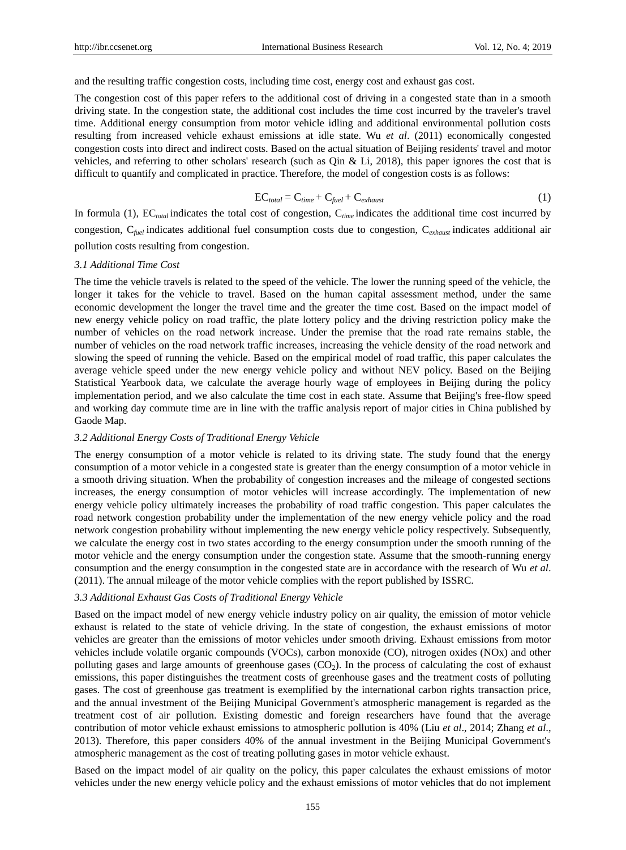and the resulting traffic congestion costs, including time cost, energy cost and exhaust gas cost.

The congestion cost of this paper refers to the additional cost of driving in a congested state than in a smooth driving state. In the congestion state, the additional cost includes the time cost incurred by the traveler's travel time. Additional energy consumption from motor vehicle idling and additional environmental pollution costs resulting from increased vehicle exhaust emissions at idle state. Wu *et al*. (2011) economically congested congestion costs into direct and indirect costs. Based on the actual situation of Beijing residents' travel and motor vehicles, and referring to other scholars' research (such as Qin & Li, 2018), this paper ignores the cost that is difficult to quantify and complicated in practice. Therefore, the model of congestion costs is as follows:

$$
EC_{total} = C_{time} + C_{fuel} + C_{exhaust}
$$
 (1)

In formula (1),  $EC_{total}$  indicates the total cost of congestion,  $C_{time}$  indicates the additional time cost incurred by congestion, C*fuel* indicates additional fuel consumption costs due to congestion, C*exhaust* indicates additional air pollution costs resulting from congestion.

#### *3.1 Additional Time Cost*

The time the vehicle travels is related to the speed of the vehicle. The lower the running speed of the vehicle, the longer it takes for the vehicle to travel. Based on the human capital assessment method, under the same economic development the longer the travel time and the greater the time cost. Based on the impact model of new energy vehicle policy on road traffic, the plate lottery policy and the driving restriction policy make the number of vehicles on the road network increase. Under the premise that the road rate remains stable, the number of vehicles on the road network traffic increases, increasing the vehicle density of the road network and slowing the speed of running the vehicle. Based on the empirical model of road traffic, this paper calculates the average vehicle speed under the new energy vehicle policy and without NEV policy. Based on the Beijing Statistical Yearbook data, we calculate the average hourly wage of employees in Beijing during the policy implementation period, and we also calculate the time cost in each state. Assume that Beijing's free-flow speed and working day commute time are in line with the traffic analysis report of major cities in China published by Gaode Map.

## *3.2 Additional Energy Costs of Traditional Energy Vehicle*

The energy consumption of a motor vehicle is related to its driving state. The study found that the energy consumption of a motor vehicle in a congested state is greater than the energy consumption of a motor vehicle in a smooth driving situation. When the probability of congestion increases and the mileage of congested sections increases, the energy consumption of motor vehicles will increase accordingly. The implementation of new energy vehicle policy ultimately increases the probability of road traffic congestion. This paper calculates the road network congestion probability under the implementation of the new energy vehicle policy and the road network congestion probability without implementing the new energy vehicle policy respectively. Subsequently, we calculate the energy cost in two states according to the energy consumption under the smooth running of the motor vehicle and the energy consumption under the congestion state. Assume that the smooth-running energy consumption and the energy consumption in the congested state are in accordance with the research of Wu *et al*. (2011). The annual mileage of the motor vehicle complies with the report published by ISSRC.

#### *3.3 Additional Exhaust Gas Costs of Traditional Energy Vehicle*

Based on the impact model of new energy vehicle industry policy on air quality, the emission of motor vehicle exhaust is related to the state of vehicle driving. In the state of congestion, the exhaust emissions of motor vehicles are greater than the emissions of motor vehicles under smooth driving. Exhaust emissions from motor vehicles include volatile organic compounds (VOCs), carbon monoxide (CO), nitrogen oxides (NOx) and other polluting gases and large amounts of greenhouse gases  $(CO<sub>2</sub>)$ . In the process of calculating the cost of exhaust emissions, this paper distinguishes the treatment costs of greenhouse gases and the treatment costs of polluting gases. The cost of greenhouse gas treatment is exemplified by the international carbon rights transaction price, and the annual investment of the Beijing Municipal Government's atmospheric management is regarded as the treatment cost of air pollution. Existing domestic and foreign researchers have found that the average contribution of motor vehicle exhaust emissions to atmospheric pollution is 40% (Liu *et al*., 2014; Zhang *et al*., 2013). Therefore, this paper considers 40% of the annual investment in the Beijing Municipal Government's atmospheric management as the cost of treating polluting gases in motor vehicle exhaust.

Based on the impact model of air quality on the policy, this paper calculates the exhaust emissions of motor vehicles under the new energy vehicle policy and the exhaust emissions of motor vehicles that do not implement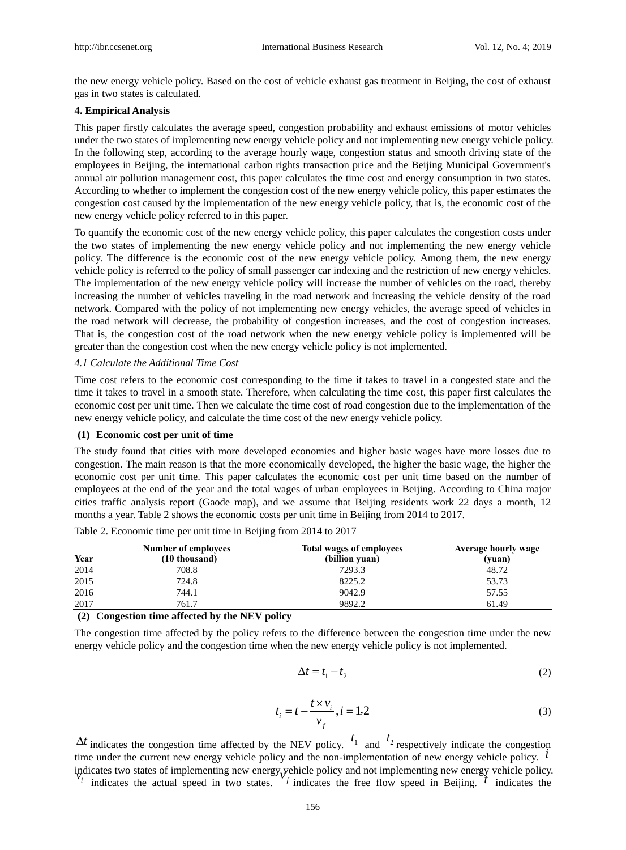the new energy vehicle policy. Based on the cost of vehicle exhaust gas treatment in Beijing, the cost of exhaust gas in two states is calculated.

#### **4. Empirical Analysis**

This paper firstly calculates the average speed, congestion probability and exhaust emissions of motor vehicles under the two states of implementing new energy vehicle policy and not implementing new energy vehicle policy. In the following step, according to the average hourly wage, congestion status and smooth driving state of the employees in Beijing, the international carbon rights transaction price and the Beijing Municipal Government's annual air pollution management cost, this paper calculates the time cost and energy consumption in two states. According to whether to implement the congestion cost of the new energy vehicle policy, this paper estimates the congestion cost caused by the implementation of the new energy vehicle policy, that is, the economic cost of the new energy vehicle policy referred to in this paper.

To quantify the economic cost of the new energy vehicle policy, this paper calculates the congestion costs under the two states of implementing the new energy vehicle policy and not implementing the new energy vehicle policy. The difference is the economic cost of the new energy vehicle policy. Among them, the new energy vehicle policy is referred to the policy of small passenger car indexing and the restriction of new energy vehicles. The implementation of the new energy vehicle policy will increase the number of vehicles on the road, thereby increasing the number of vehicles traveling in the road network and increasing the vehicle density of the road network. Compared with the policy of not implementing new energy vehicles, the average speed of vehicles in the road network will decrease, the probability of congestion increases, and the cost of congestion increases. That is, the congestion cost of the road network when the new energy vehicle policy is implemented will be greater than the congestion cost when the new energy vehicle policy is not implemented.

#### *4.1 Calculate the Additional Time Cost*

Time cost refers to the economic cost corresponding to the time it takes to travel in a congested state and the time it takes to travel in a smooth state. Therefore, when calculating the time cost, this paper first calculates the economic cost per unit time. Then we calculate the time cost of road congestion due to the implementation of the new energy vehicle policy, and calculate the time cost of the new energy vehicle policy.

#### **(1) Economic cost per unit of time**

The study found that cities with more developed economies and higher basic wages have more losses due to congestion. The main reason is that the more economically developed, the higher the basic wage, the higher the economic cost per unit time. This paper calculates the economic cost per unit time based on the number of employees at the end of the year and the total wages of urban employees in Beijing. According to China major cities traffic analysis report (Gaode map), and we assume that Beijing residents work 22 days a month, 12 months a year. Table 2 shows the economic costs per unit time in Beijing from 2014 to 2017.

| Year | Number of employees<br>(10 thousand) | <b>Total wages of employees</b><br>(billion yuan) | <b>Average hourly wage</b><br>(vuan) |
|------|--------------------------------------|---------------------------------------------------|--------------------------------------|
| 2014 | 708.8                                | 7293.3                                            | 48.72                                |
| 2015 | 724.8                                | 8225.2                                            | 53.73                                |
| 2016 | 744.1                                | 9042.9                                            | 57.55                                |
| 2017 | 761.7                                | 9892.2                                            | 61.49                                |

Table 2. Economic time per unit time in Beijing from 2014 to 2017

**(2) Congestion time affected by the NEV policy**

The congestion time affected by the policy refers to the difference between the congestion time under the new energy vehicle policy and the congestion time when the new energy vehicle policy is not implemented.

$$
\Delta t = t_1 - t_2 \tag{2}
$$

$$
t_i = t - \frac{t \times v_i}{v_f}, i = 1,2
$$
\n<sup>(3)</sup>

 $\Delta t$  indicates the congestion time affected by the NEV policy.  $t_1$  and  $t_2$  respectively indicate the congestion time under the current new energy vehicle policy and the non-implementation of new energy vehicle policy.<sup>*i*</sup> indicates two states of implementing new energy vehicle policy and not implementing new energy vehicle policy. *i* indicates the actual speed in two states.  $\frac{f}{f}$  indicates the free flow speed in Beijing.  $\frac{f}{f}$  indicates the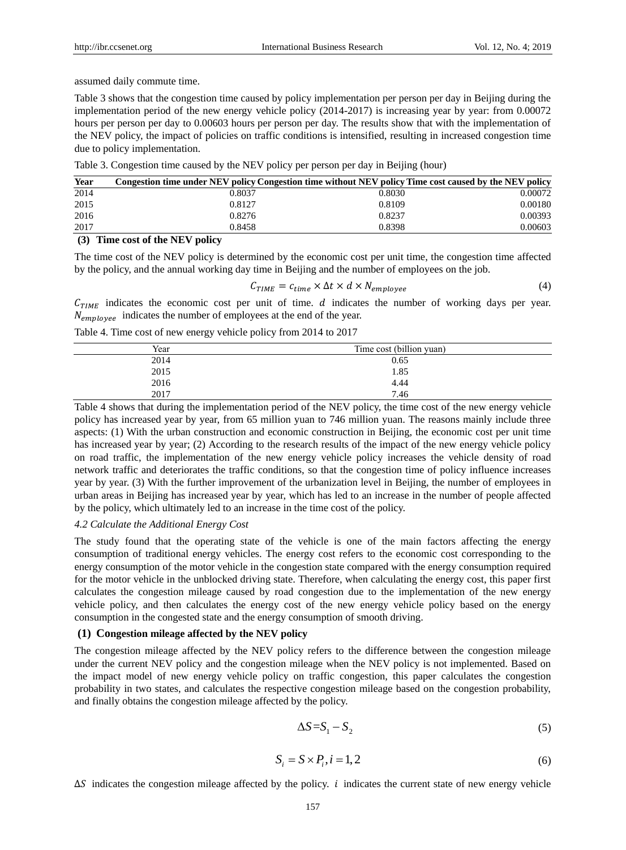assumed daily commute time.

Table 3 shows that the congestion time caused by policy implementation per person per day in Beijing during the implementation period of the new energy vehicle policy (2014-2017) is increasing year by year: from 0.00072 hours per person per day to 0.00603 hours per person per day. The results show that with the implementation of the NEV policy, the impact of policies on traffic conditions is intensified, resulting in increased congestion time due to policy implementation.

| Table 3. Congestion time caused by the NEV policy per person per day in Beijing (hour) |  |  |
|----------------------------------------------------------------------------------------|--|--|
|                                                                                        |  |  |

| Year | Congestion time under NEV policy Congestion time without NEV policy Time cost caused by the NEV policy |        |         |
|------|--------------------------------------------------------------------------------------------------------|--------|---------|
| 2014 | 0.8037                                                                                                 | 0.8030 | 0.00072 |
| 2015 | 0.8127                                                                                                 | 0.8109 | 0.00180 |
| 2016 | 0.8276                                                                                                 | 0.8237 | 0.00393 |
| 2017 | 0.8458                                                                                                 | 0.8398 | 0.00603 |
|      | $-$                                                                                                    |        |         |

#### **(3) Time cost of the NEV policy**

The time cost of the NEV policy is determined by the economic cost per unit time, the congestion time affected by the policy, and the annual working day time in Beijing and the number of employees on the job.

$$
C_{TIME} = c_{time} \times \Delta t \times d \times N_{employee}
$$
\n
$$
\tag{4}
$$

 $C_{TIME}$  indicates the economic cost per unit of time. *d* indicates the number of working days per year.  $N_{emnlovee}$  indicates the number of employees at the end of the year.

Table 4. Time cost of new energy vehicle policy from 2014 to 2017

| Year | Time cost (billion yuan) |
|------|--------------------------|
| 2014 | 0.65                     |
| 2015 | 1.85                     |
| 2016 | 4.44                     |
| 2017 | 7.46                     |

Table 4 shows that during the implementation period of the NEV policy, the time cost of the new energy vehicle policy has increased year by year, from 65 million yuan to 746 million yuan. The reasons mainly include three aspects: (1) With the urban construction and economic construction in Beijing, the economic cost per unit time has increased year by year; (2) According to the research results of the impact of the new energy vehicle policy on road traffic, the implementation of the new energy vehicle policy increases the vehicle density of road network traffic and deteriorates the traffic conditions, so that the congestion time of policy influence increases year by year. (3) With the further improvement of the urbanization level in Beijing, the number of employees in urban areas in Beijing has increased year by year, which has led to an increase in the number of people affected by the policy, which ultimately led to an increase in the time cost of the policy.

#### *4.2 Calculate the Additional Energy Cost*

The study found that the operating state of the vehicle is one of the main factors affecting the energy consumption of traditional energy vehicles. The energy cost refers to the economic cost corresponding to the energy consumption of the motor vehicle in the congestion state compared with the energy consumption required for the motor vehicle in the unblocked driving state. Therefore, when calculating the energy cost, this paper first calculates the congestion mileage caused by road congestion due to the implementation of the new energy vehicle policy, and then calculates the energy cost of the new energy vehicle policy based on the energy consumption in the congested state and the energy consumption of smooth driving.

#### **(1) Congestion mileage affected by the NEV policy**

The congestion mileage affected by the NEV policy refers to the difference between the congestion mileage under the current NEV policy and the congestion mileage when the NEV policy is not implemented. Based on the impact model of new energy vehicle policy on traffic congestion, this paper calculates the congestion probability in two states, and calculates the respective congestion mileage based on the congestion probability, and finally obtains the congestion mileage affected by the policy.

$$
\Delta S = S_1 - S_2 \tag{5}
$$

$$
S_i = S \times P_i, i = 1, 2
$$
\n<sup>(6)</sup>

 $\Delta S$  indicates the congestion mileage affected by the policy. *i* indicates the current state of new energy vehicle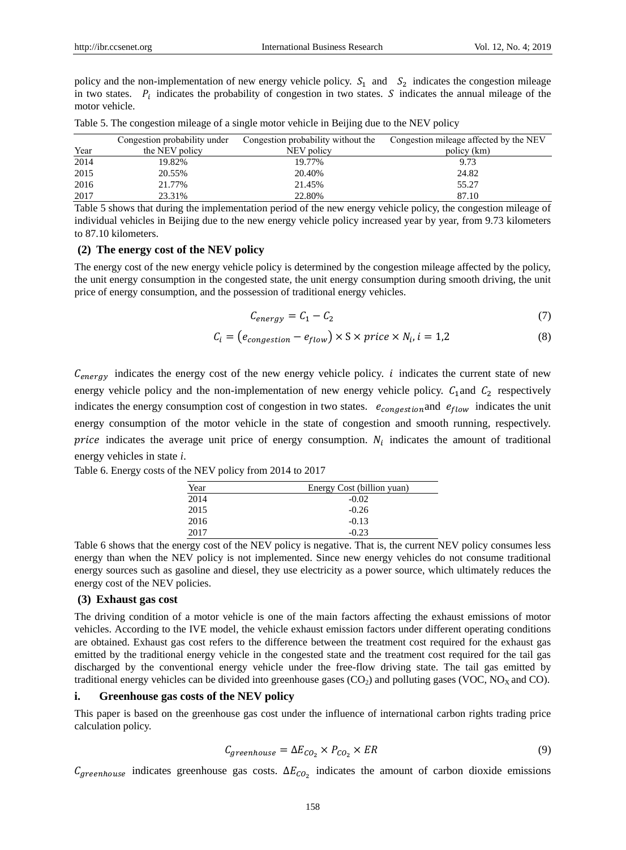policy and the non-implementation of new energy vehicle policy.  $S_1$  and  $S_2$  indicates the congestion mileage in two states.  $P_i$  indicates the probability of congestion in two states. S indicates the annual mileage of the motor vehicle.

|      | Congestion probability under | Congestion probability without the | Congestion mileage affected by the NEV |
|------|------------------------------|------------------------------------|----------------------------------------|
| Year | the NEV policy               | NEV policy                         | policy (km)                            |
| 2014 | 19.82%                       | 19.77%                             | 9.73                                   |
| 2015 | 20.55%                       | 20.40%                             | 24.82                                  |
| 2016 | 21.77%                       | 21.45%                             | 55.27                                  |
| 2017 | 23.31%                       | 22.80%                             | 87.10                                  |

Table 5. The congestion mileage of a single motor vehicle in Beijing due to the NEV policy

Table 5 shows that during the implementation period of the new energy vehicle policy, the congestion mileage of individual vehicles in Beijing due to the new energy vehicle policy increased year by year, from 9.73 kilometers to 87.10 kilometers.

#### **(2) The energy cost of the NEV policy**

The energy cost of the new energy vehicle policy is determined by the congestion mileage affected by the policy, the unit energy consumption in the congested state, the unit energy consumption during smooth driving, the unit price of energy consumption, and the possession of traditional energy vehicles.

$$
C_{energy} = C_1 - C_2 \tag{7}
$$

$$
C_i = (e_{congestion} - e_{flow}) \times S \times price \times N_i, i = 1,2
$$
\n(8)

 $C_{energy}$  indicates the energy cost of the new energy vehicle policy. *i* indicates the current state of new energy vehicle policy and the non-implementation of new energy vehicle policy.  $C_1$  and  $C_2$  respectively indicates the energy consumption cost of congestion in two states.  $e_{congestion}$  and  $e_{flow}$  indicates the unit energy consumption of the motor vehicle in the state of congestion and smooth running, respectively. price indicates the average unit price of energy consumption.  $N_i$  indicates the amount of traditional energy vehicles in state *i*.

Table 6. Energy costs of the NEV policy from 2014 to 2017

| Year | Energy Cost (billion yuan) |
|------|----------------------------|
| 2014 | $-0.02$                    |
| 2015 | $-0.26$                    |
| 2016 | $-0.13$                    |
| 2017 | $-0.23$                    |
|      |                            |

Table 6 shows that the energy cost of the NEV policy is negative. That is, the current NEV policy consumes less energy than when the NEV policy is not implemented. Since new energy vehicles do not consume traditional energy sources such as gasoline and diesel, they use electricity as a power source, which ultimately reduces the energy cost of the NEV policies.

#### **(3) Exhaust gas cost**

The driving condition of a motor vehicle is one of the main factors affecting the exhaust emissions of motor vehicles. According to the IVE model, the vehicle exhaust emission factors under different operating conditions are obtained. Exhaust gas cost refers to the difference between the treatment cost required for the exhaust gas emitted by the traditional energy vehicle in the congested state and the treatment cost required for the tail gas discharged by the conventional energy vehicle under the free-flow driving state. The tail gas emitted by traditional energy vehicles can be divided into greenhouse gases  $(CO<sub>2</sub>)$  and polluting gases  $(VOC, NO<sub>X</sub>$  and  $CO)$ .

## **i. Greenhouse gas costs of the NEV policy**

This paper is based on the greenhouse gas cost under the influence of international carbon rights trading price calculation policy.

$$
C_{greenhouse} = \Delta E_{CO_2} \times P_{CO_2} \times ER
$$
\n(9)

 $C_{greenhouse}$  indicates greenhouse gas costs.  $\Delta E_{CO_2}$  indicates the amount of carbon dioxide emissions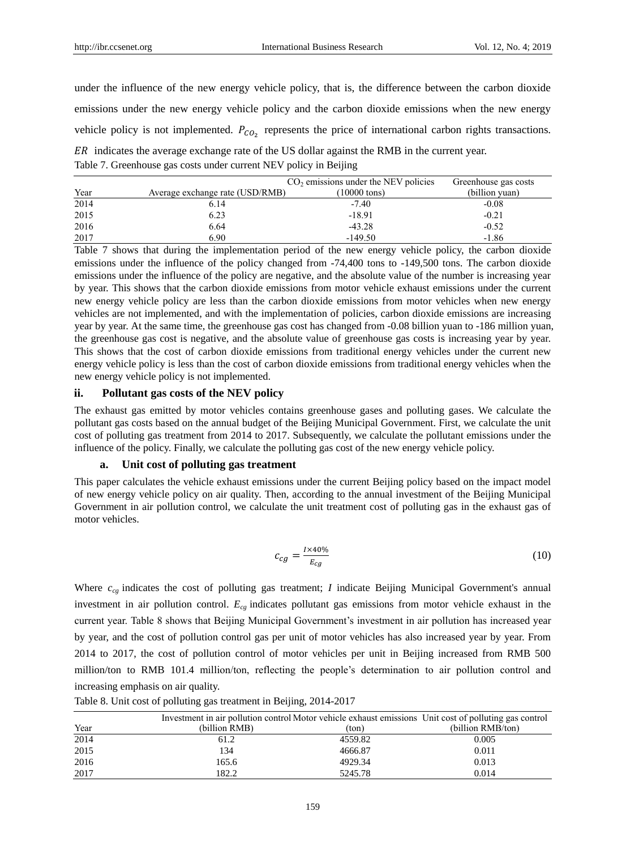under the influence of the new energy vehicle policy, that is, the difference between the carbon dioxide emissions under the new energy vehicle policy and the carbon dioxide emissions when the new energy vehicle policy is not implemented.  $P_{CO_2}$  represents the price of international carbon rights transactions.

ER indicates the average exchange rate of the US dollar against the RMB in the current year. Table 7. Greenhouse gas costs under current NEV policy in Beijing

|      |                                 | $CO2$ emissions under the NEV policies | Greenhouse gas costs |
|------|---------------------------------|----------------------------------------|----------------------|
| Year | Average exchange rate (USD/RMB) | $(10000 \text{ tons})$                 | (billion yuan)       |
| 2014 | 6.14                            | $-7.40$                                | $-0.08$              |
| 2015 | 6.23                            | $-18.91$                               | $-0.21$              |
| 2016 | 6.64                            | $-43.28$                               | $-0.52$              |
| 2017 | 6.90                            | $-149.50$                              | $-1.86$              |

Table 7 shows that during the implementation period of the new energy vehicle policy, the carbon dioxide emissions under the influence of the policy changed from  $-74,400$  tons to  $-149,500$  tons. The carbon dioxide emissions under the influence of the policy are negative, and the absolute value of the number is increasing year by year. This shows that the carbon dioxide emissions from motor vehicle exhaust emissions under the current new energy vehicle policy are less than the carbon dioxide emissions from motor vehicles when new energy vehicles are not implemented, and with the implementation of policies, carbon dioxide emissions are increasing year by year. At the same time, the greenhouse gas cost has changed from -0.08 billion yuan to -186 million yuan, the greenhouse gas cost is negative, and the absolute value of greenhouse gas costs is increasing year by year. This shows that the cost of carbon dioxide emissions from traditional energy vehicles under the current new energy vehicle policy is less than the cost of carbon dioxide emissions from traditional energy vehicles when the new energy vehicle policy is not implemented.

## **ii. Pollutant gas costs of the NEV policy**

The exhaust gas emitted by motor vehicles contains greenhouse gases and polluting gases. We calculate the pollutant gas costs based on the annual budget of the Beijing Municipal Government. First, we calculate the unit cost of polluting gas treatment from 2014 to 2017. Subsequently, we calculate the pollutant emissions under the influence of the policy. Finally, we calculate the polluting gas cost of the new energy vehicle policy.

## **a. Unit cost of polluting gas treatment**

This paper calculates the vehicle exhaust emissions under the current Beijing policy based on the impact model of new energy vehicle policy on air quality. Then, according to the annual investment of the Beijing Municipal Government in air pollution control, we calculate the unit treatment cost of polluting gas in the exhaust gas of motor vehicles.

$$
c_{cg} = \frac{I \times 40\%}{E_{cg}}\tag{10}
$$

Where  $c_{cg}$  indicates the cost of polluting gas treatment; *I* indicate Beijing Municipal Government's annual investment in air pollution control. *Ecg* indicates pollutant gas emissions from motor vehicle exhaust in the current year. Table 8 shows that Beijing Municipal Government's investment in air pollution has increased year by year, and the cost of pollution control gas per unit of motor vehicles has also increased year by year. From 2014 to 2017, the cost of pollution control of motor vehicles per unit in Beijing increased from RMB 500 million/ton to RMB 101.4 million/ton, reflecting the people's determination to air pollution control and increasing emphasis on air quality.

|      | Investment in air pollution control Motor vehicle exhaust emissions. Unit cost of polluting gas control |         |                   |
|------|---------------------------------------------------------------------------------------------------------|---------|-------------------|
| Year | (billion RMB)                                                                                           | (ton)   | (billion RMB/ton) |
| 2014 | 61.2                                                                                                    | 4559.82 | 0.005             |
| 2015 | 134                                                                                                     | 4666.87 | 0.011             |
| 2016 | 165.6                                                                                                   | 4929.34 | 0.013             |
| 2017 | 182.2                                                                                                   | 5245.78 | 0.014             |

Table 8. Unit cost of polluting gas treatment in Beijing, 2014-2017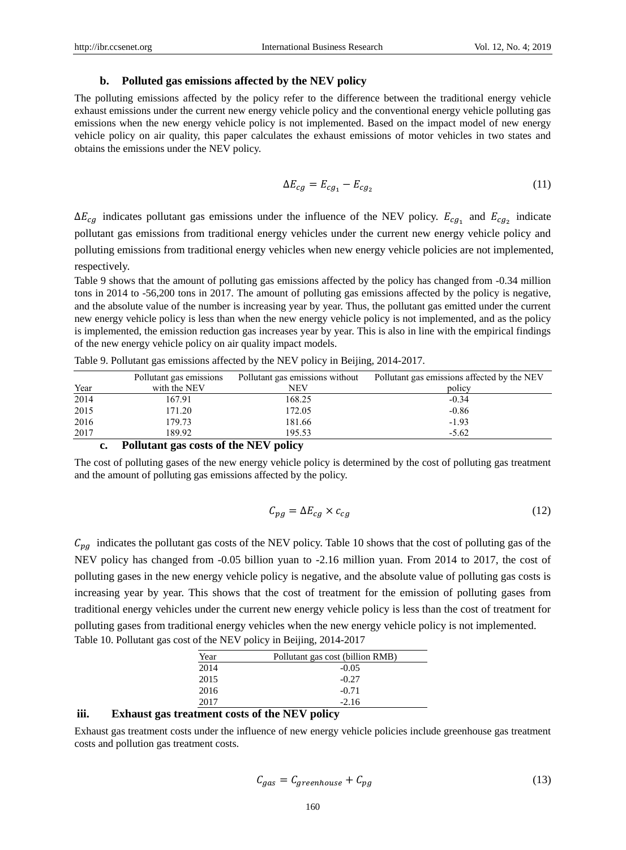## **b. Polluted gas emissions affected by the NEV policy**

The polluting emissions affected by the policy refer to the difference between the traditional energy vehicle exhaust emissions under the current new energy vehicle policy and the conventional energy vehicle polluting gas emissions when the new energy vehicle policy is not implemented. Based on the impact model of new energy vehicle policy on air quality, this paper calculates the exhaust emissions of motor vehicles in two states and obtains the emissions under the NEV policy.

$$
\Delta E_{cg} = E_{cg_1} - E_{cg_2} \tag{11}
$$

 $\Delta E_{cg}$  indicates pollutant gas emissions under the influence of the NEV policy.  $E_{cg_1}$  and  $E_{cg_2}$  indicate pollutant gas emissions from traditional energy vehicles under the current new energy vehicle policy and polluting emissions from traditional energy vehicles when new energy vehicle policies are not implemented, respectively.

Table 9 shows that the amount of polluting gas emissions affected by the policy has changed from -0.34 million tons in 2014 to -56,200 tons in 2017. The amount of polluting gas emissions affected by the policy is negative, and the absolute value of the number is increasing year by year. Thus, the pollutant gas emitted under the current new energy vehicle policy is less than when the new energy vehicle policy is not implemented, and as the policy is implemented, the emission reduction gas increases year by year. This is also in line with the empirical findings of the new energy vehicle policy on air quality impact models.

|      | Pollutant gas emissions               | Pollutant gas emissions without | Pollutant gas emissions affected by the NEV |
|------|---------------------------------------|---------------------------------|---------------------------------------------|
| Year | with the NEV                          | NEV                             | policy                                      |
| 2014 | 167.91                                | 168.25                          | $-0.34$                                     |
| 2015 | 171.20                                | 172.05                          | $-0.86$                                     |
| 2016 | 179.73                                | 181.66                          | $-1.93$                                     |
| 2017 | 189.92                                | 195.53                          | $-5.62$                                     |
|      | Pollutant gas costs of the NEV policy |                                 |                                             |

Table 9. Pollutant gas emissions affected by the NEV policy in Beijing, 2014-2017.

The cost of polluting gases of the new energy vehicle policy is determined by the cost of polluting gas treatment and the amount of polluting gas emissions affected by the policy.

$$
C_{pg} = \Delta E_{cg} \times c_{cg} \tag{12}
$$

 $C_{pg}$  indicates the pollutant gas costs of the NEV policy. Table 10 shows that the cost of polluting gas of the NEV policy has changed from -0.05 billion yuan to -2.16 million yuan. From 2014 to 2017, the cost of polluting gases in the new energy vehicle policy is negative, and the absolute value of polluting gas costs is increasing year by year. This shows that the cost of treatment for the emission of polluting gases from traditional energy vehicles under the current new energy vehicle policy is less than the cost of treatment for polluting gases from traditional energy vehicles when the new energy vehicle policy is not implemented. Table 10. Pollutant gas cost of the NEV policy in Beijing, 2014-2017

| Year | Pollutant gas cost (billion RMB) |
|------|----------------------------------|
| 2014 | $-0.05$                          |
| 2015 | $-0.27$                          |
| 2016 | $-0.71$                          |
| 2017 | $-2.16$                          |

## **iii. Exhaust gas treatment costs of the NEV policy**

Exhaust gas treatment costs under the influence of new energy vehicle policies include greenhouse gas treatment costs and pollution gas treatment costs.

$$
C_{gas} = C_{greenhouse} + C_{pg}
$$
\n(13)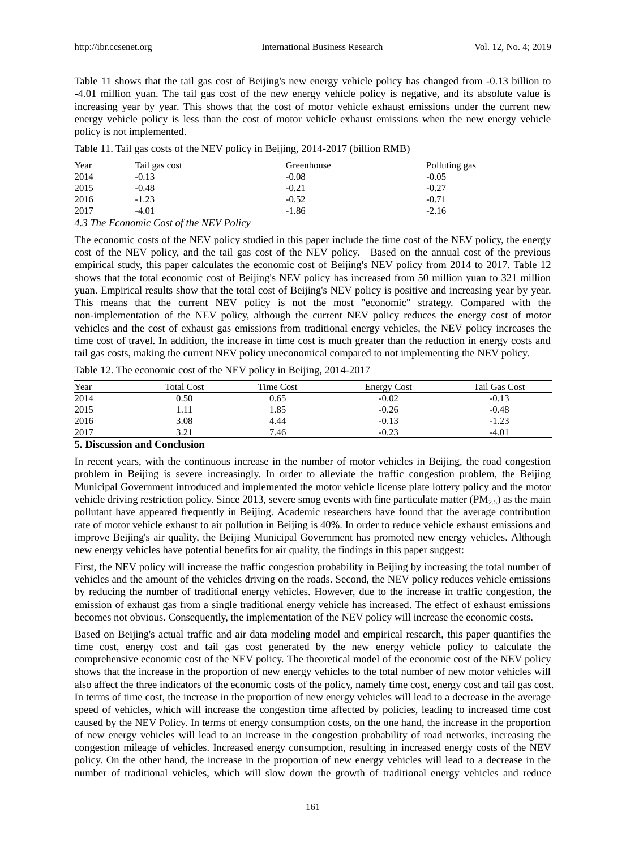Table 11 shows that the tail gas cost of Beijing's new energy vehicle policy has changed from -0.13 billion to -4.01 million yuan. The tail gas cost of the new energy vehicle policy is negative, and its absolute value is increasing year by year. This shows that the cost of motor vehicle exhaust emissions under the current new energy vehicle policy is less than the cost of motor vehicle exhaust emissions when the new energy vehicle policy is not implemented.

| Year | Tail gas cost | Greenhouse | Polluting gas |  |
|------|---------------|------------|---------------|--|
| 2014 | $-0.13$       | $-0.08$    | $-0.05$       |  |
| 2015 | $-0.48$       | $-0.21$    | $-0.27$       |  |
| 2016 | $-1.23$       | $-0.52$    | $-0.71$       |  |
| 2017 | $-4.01$       | $-1.86$    | $-2.16$       |  |

Table 11. Tail gas costs of the NEV policy in Beijing, 2014-2017 (billion RMB)

*4.3 The Economic Cost of the NEV Policy*

The economic costs of the NEV policy studied in this paper include the time cost of the NEV policy, the energy cost of the NEV policy, and the tail gas cost of the NEV policy. Based on the annual cost of the previous empirical study, this paper calculates the economic cost of Beijing's NEV policy from 2014 to 2017. Table 12 shows that the total economic cost of Beijing's NEV policy has increased from 50 million yuan to 321 million yuan. Empirical results show that the total cost of Beijing's NEV policy is positive and increasing year by year. This means that the current NEV policy is not the most "economic" strategy. Compared with the non-implementation of the NEV policy, although the current NEV policy reduces the energy cost of motor vehicles and the cost of exhaust gas emissions from traditional energy vehicles, the NEV policy increases the time cost of travel. In addition, the increase in time cost is much greater than the reduction in energy costs and tail gas costs, making the current NEV policy uneconomical compared to not implementing the NEV policy.

| Year | <b>Total Cost</b> | Time Cost | <b>Energy Cost</b> | Tail Gas Cost |
|------|-------------------|-----------|--------------------|---------------|
| 2014 | 0.50              | 0.65      | $-0.02$            | $-0.13$       |
| 2015 | 1.11              | 1.85      | $-0.26$            | $-0.48$       |
| 2016 | 3.08              | 4.44      | $-0.13$            | $-1.23$       |
| 2017 | 3.21              | 7.46      | $-0.23$            | $-4.01$       |

Table 12. The economic cost of the NEV policy in Beijing, 2014-2017

#### **5. Discussion and Conclusion**

In recent years, with the continuous increase in the number of motor vehicles in Beijing, the road congestion problem in Beijing is severe increasingly. In order to alleviate the traffic congestion problem, the Beijing Municipal Government introduced and implemented the motor vehicle license plate lottery policy and the motor vehicle driving restriction policy. Since 2013, severe smog events with fine particulate matter ( $PM_{2.5}$ ) as the main pollutant have appeared frequently in Beijing. Academic researchers have found that the average contribution rate of motor vehicle exhaust to air pollution in Beijing is 40%. In order to reduce vehicle exhaust emissions and improve Beijing's air quality, the Beijing Municipal Government has promoted new energy vehicles. Although new energy vehicles have potential benefits for air quality, the findings in this paper suggest:

First, the NEV policy will increase the traffic congestion probability in Beijing by increasing the total number of vehicles and the amount of the vehicles driving on the roads. Second, the NEV policy reduces vehicle emissions by reducing the number of traditional energy vehicles. However, due to the increase in traffic congestion, the emission of exhaust gas from a single traditional energy vehicle has increased. The effect of exhaust emissions becomes not obvious. Consequently, the implementation of the NEV policy will increase the economic costs.

Based on Beijing's actual traffic and air data modeling model and empirical research, this paper quantifies the time cost, energy cost and tail gas cost generated by the new energy vehicle policy to calculate the comprehensive economic cost of the NEV policy. The theoretical model of the economic cost of the NEV policy shows that the increase in the proportion of new energy vehicles to the total number of new motor vehicles will also affect the three indicators of the economic costs of the policy, namely time cost, energy cost and tail gas cost. In terms of time cost, the increase in the proportion of new energy vehicles will lead to a decrease in the average speed of vehicles, which will increase the congestion time affected by policies, leading to increased time cost caused by the NEV Policy. In terms of energy consumption costs, on the one hand, the increase in the proportion of new energy vehicles will lead to an increase in the congestion probability of road networks, increasing the congestion mileage of vehicles. Increased energy consumption, resulting in increased energy costs of the NEV policy. On the other hand, the increase in the proportion of new energy vehicles will lead to a decrease in the number of traditional vehicles, which will slow down the growth of traditional energy vehicles and reduce